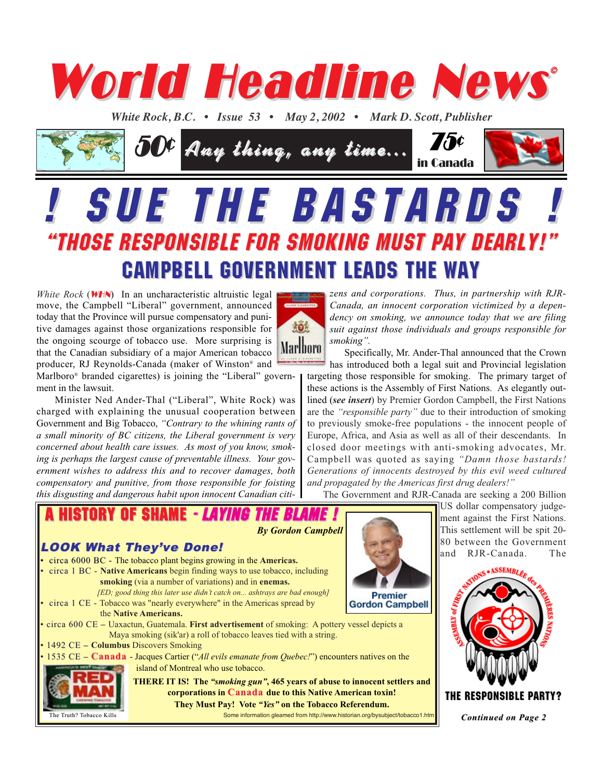

*White Rock, B.C. • Issue 53 • May 2, 2002 • Mark D. Scott, Publisher* 



# **SUE THE BASTARDS** "THOSE RESPONSIBLE FOR SMOKING MUST PAY DEARLY!" "THOSE RESPONSIBLE FOR SMOKING MUST PAY DEARLY!" CAMPBELL GOVERNMENT LEADS THE WAY CAMPBELL GOVERNMENT LEADS THE WAY

*White Rock* (*WHN*) In an uncharacteristic altruistic legal move, the Campbell "Liberal" government, announced today that the Province will pursue compensatory and punitive damages against those organizations responsible for the ongoing scourge of tobacco use. More surprising is that the Canadian subsidiary of a major American tobacco producer, RJ Reynolds-Canada (maker of Winston® and



Marlboro® branded cigarettes) is joining the "Liberal" government in the lawsuit. Minister Ned Ander-Thal ("Liberal", White Rock) was

charged with explaining the unusual cooperation between Government and Big Tobacco, *"Contrary to the whining rants of a small minority of BC citizens, the Liberal government is very concerned about health care issues. As most of you know, smoking is perhaps the largest cause of preventable illness. Your government wishes to address this and to recover damages, both compensatory and punitive, from those responsible for foisting this disgusting and dangerous habit upon innocent Canadian citi-*

*zens and corporations. Thus, in partnership with RJR-Canada, an innocent corporation victimized by a dependency on smoking, we announce today that we are filing suit against those individuals and groups responsible for smoking".* 

Specifically, Mr. Ander-Thal announced that the Crown has introduced both a legal suit and Provincial legislation targeting those responsible for smoking. The primary target of these actions is the Assembly of First Nations. As elegantly outlined (*see insert*) by Premier Gordon Campbell, the First Nations are the *"responsible party"* due to their introduction of smoking to previously smoke-free populations - the innocent people of Europe, Africa, and Asia as well as all of their descendants. In closed door meetings with anti-smoking advocates, Mr. Campbell was quoted as saying *"Damn those bastards! Generations of innocents destroyed by this evil weed cultured and propagated by the Americas first drug dealers!"*

The Government and RJR-Canada are seeking a 200 Billion